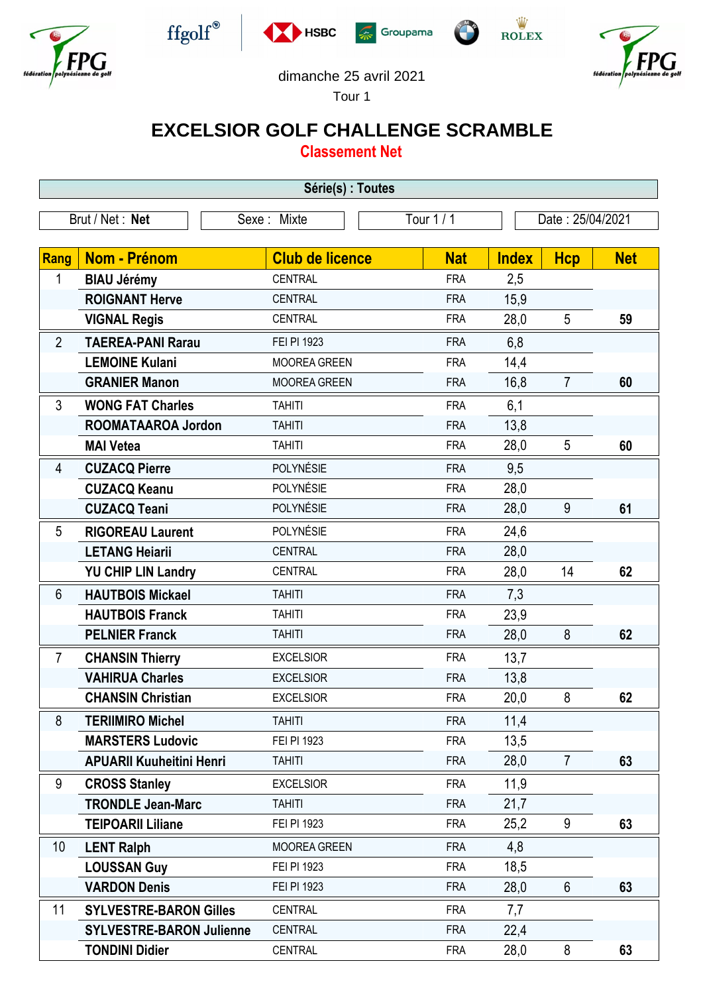











## dimanche 25 avril 2021

Tour 1

## **EXCELSIOR GOLF CHALLENGE SCRAMBLE**

**Classement Net**

| Série(s) : Toutes |                                 |                        |            |                  |                |            |  |
|-------------------|---------------------------------|------------------------|------------|------------------|----------------|------------|--|
| Brut / Net: Net   |                                 | Sexe: Mixte            | Tour $1/1$ | Date: 25/04/2021 |                |            |  |
|                   |                                 |                        |            |                  |                |            |  |
| <b>Rang</b>       | <b>Nom - Prénom</b>             | <b>Club de licence</b> | <b>Nat</b> | <b>Index</b>     | <b>Hcp</b>     | <b>Net</b> |  |
| 1                 | <b>BIAU Jérémy</b>              | <b>CENTRAL</b>         | <b>FRA</b> | 2,5              |                |            |  |
|                   | <b>ROIGNANT Herve</b>           | <b>CENTRAL</b>         | <b>FRA</b> | 15,9             |                |            |  |
|                   | <b>VIGNAL Regis</b>             | <b>CENTRAL</b>         | <b>FRA</b> | 28,0             | 5              | 59         |  |
| $\overline{2}$    | <b>TAEREA-PANI Rarau</b>        | FEI PI 1923            | <b>FRA</b> | 6,8              |                |            |  |
|                   | <b>LEMOINE Kulani</b>           | <b>MOOREA GREEN</b>    | <b>FRA</b> | 14,4             |                |            |  |
|                   | <b>GRANIER Manon</b>            | <b>MOOREA GREEN</b>    | <b>FRA</b> | 16,8             | $\overline{7}$ | 60         |  |
| 3                 | <b>WONG FAT Charles</b>         | <b>TAHITI</b>          | <b>FRA</b> | 6,1              |                |            |  |
|                   | <b>ROOMATAAROA Jordon</b>       | <b>TAHITI</b>          | <b>FRA</b> | 13,8             |                |            |  |
|                   | <b>MAI Vetea</b>                | <b>TAHITI</b>          | <b>FRA</b> | 28,0             | 5              | 60         |  |
| 4                 | <b>CUZACQ Pierre</b>            | POLYNÉSIE              | <b>FRA</b> | 9,5              |                |            |  |
|                   | <b>CUZACQ Keanu</b>             | POLYNÉSIE              | <b>FRA</b> | 28,0             |                |            |  |
|                   | <b>CUZACQ Teani</b>             | POLYNÉSIE              | <b>FRA</b> | 28,0             | 9              | 61         |  |
| 5                 | <b>RIGOREAU Laurent</b>         | POLYNÉSIE              | <b>FRA</b> | 24,6             |                |            |  |
|                   | <b>LETANG Heiarii</b>           | <b>CENTRAL</b>         | <b>FRA</b> | 28,0             |                |            |  |
|                   | <b>YU CHIP LIN Landry</b>       | <b>CENTRAL</b>         | <b>FRA</b> | 28,0             | 14             | 62         |  |
| 6                 | <b>HAUTBOIS Mickael</b>         | <b>TAHITI</b>          | <b>FRA</b> | 7,3              |                |            |  |
|                   | <b>HAUTBOIS Franck</b>          | <b>TAHITI</b>          | <b>FRA</b> | 23,9             |                |            |  |
|                   | <b>PELNIER Franck</b>           | <b>TAHITI</b>          | <b>FRA</b> | 28,0             | 8              | 62         |  |
| $\overline{7}$    | <b>CHANSIN Thierry</b>          | <b>EXCELSIOR</b>       | <b>FRA</b> | 13,7             |                |            |  |
|                   | <b>VAHIRUA Charles</b>          | <b>EXCELSIOR</b>       | <b>FRA</b> | 13,8             |                |            |  |
|                   | <b>CHANSIN Christian</b>        | <b>EXCELSIOR</b>       | <b>FRA</b> | 20,0             | 8              | 62         |  |
| 8                 | <b>TERIIMIRO Michel</b>         | <b>TAHITI</b>          | <b>FRA</b> | 11,4             |                |            |  |
|                   | <b>MARSTERS Ludovic</b>         | FEI PI 1923            | <b>FRA</b> | 13,5             |                |            |  |
|                   | <b>APUARII Kuuheitini Henri</b> | <b>TAHITI</b>          | <b>FRA</b> | 28,0             | $\overline{7}$ | 63         |  |
| 9                 | <b>CROSS Stanley</b>            | <b>EXCELSIOR</b>       | <b>FRA</b> | 11,9             |                |            |  |
|                   | <b>TRONDLE Jean-Marc</b>        | <b>TAHITI</b>          | <b>FRA</b> | 21,7             |                |            |  |
|                   | <b>TEIPOARII Liliane</b>        | FEI PI 1923            | <b>FRA</b> | 25,2             | 9              | 63         |  |
| 10                | <b>LENT Ralph</b>               | <b>MOOREA GREEN</b>    | <b>FRA</b> | 4,8              |                |            |  |
|                   | <b>LOUSSAN Guy</b>              | FEI PI 1923            | <b>FRA</b> | 18,5             |                |            |  |
|                   | <b>VARDON Denis</b>             | FEI PI 1923            | <b>FRA</b> | 28,0             | $6\phantom{1}$ | 63         |  |
| 11                | <b>SYLVESTRE-BARON Gilles</b>   | CENTRAL                | <b>FRA</b> | 7,7              |                |            |  |
|                   | <b>SYLVESTRE-BARON Julienne</b> | CENTRAL                | <b>FRA</b> | 22,4             |                |            |  |
|                   | <b>TONDINI Didier</b>           | CENTRAL                | <b>FRA</b> | 28,0             | 8              | 63         |  |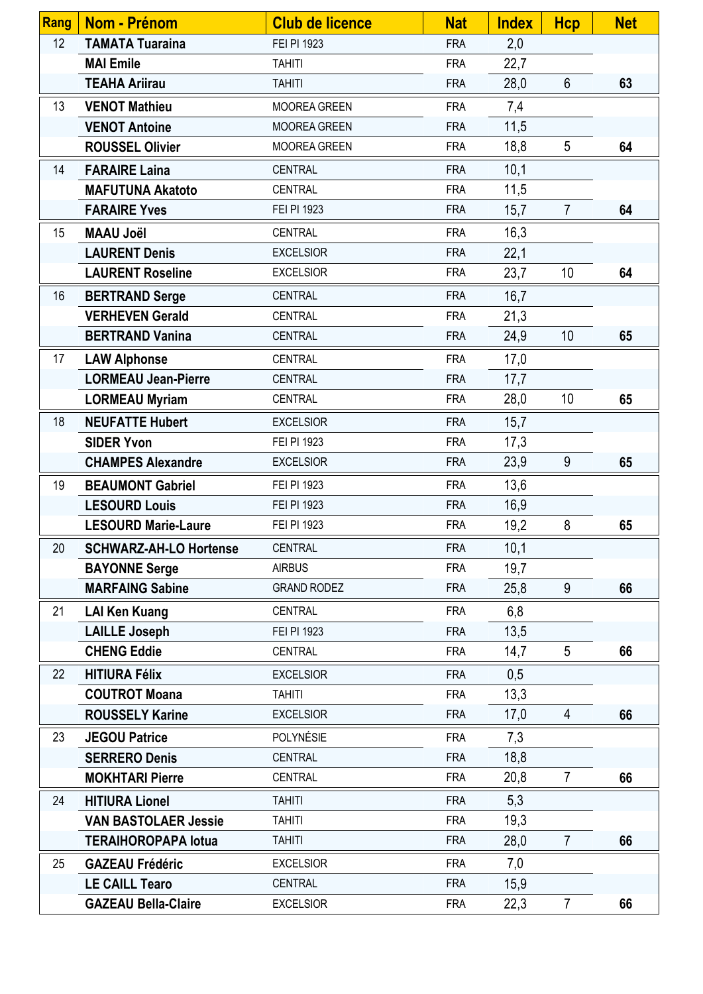| <b>Rang</b> | Nom - Prénom                  | <b>Club de licence</b> | <b>Nat</b> | <b>Index</b> | <b>Hcp</b>      | <b>Net</b> |
|-------------|-------------------------------|------------------------|------------|--------------|-----------------|------------|
| 12          | <b>TAMATA Tuaraina</b>        | FEI PI 1923            | <b>FRA</b> | 2,0          |                 |            |
|             | <b>MAI Emile</b>              | <b>TAHITI</b>          | <b>FRA</b> | 22,7         |                 |            |
|             | <b>TEAHA Ariirau</b>          | <b>TAHITI</b>          | <b>FRA</b> | 28,0         | $6\phantom{a}$  | 63         |
| 13          | <b>VENOT Mathieu</b>          | <b>MOOREA GREEN</b>    | <b>FRA</b> | 7,4          |                 |            |
|             | <b>VENOT Antoine</b>          | <b>MOOREA GREEN</b>    | <b>FRA</b> | 11,5         |                 |            |
|             | <b>ROUSSEL Olivier</b>        | <b>MOOREA GREEN</b>    | <b>FRA</b> | 18,8         | 5               | 64         |
| 14          | <b>FARAIRE Laina</b>          | CENTRAL                | <b>FRA</b> | 10,1         |                 |            |
|             | <b>MAFUTUNA Akatoto</b>       | CENTRAL                | <b>FRA</b> | 11,5         |                 |            |
|             | <b>FARAIRE Yves</b>           | FEI PI 1923            | <b>FRA</b> | 15,7         | $\overline{7}$  | 64         |
| 15          | <b>MAAU Joël</b>              | CENTRAL                | <b>FRA</b> | 16,3         |                 |            |
|             | <b>LAURENT Denis</b>          | <b>EXCELSIOR</b>       | <b>FRA</b> | 22,1         |                 |            |
|             | <b>LAURENT Roseline</b>       | <b>EXCELSIOR</b>       | <b>FRA</b> | 23,7         | 10              | 64         |
| 16          | <b>BERTRAND Serge</b>         | CENTRAL                | <b>FRA</b> | 16,7         |                 |            |
|             | <b>VERHEVEN Gerald</b>        | <b>CENTRAL</b>         | <b>FRA</b> | 21,3         |                 |            |
|             | <b>BERTRAND Vanina</b>        | <b>CENTRAL</b>         | <b>FRA</b> | 24,9         | 10              | 65         |
| 17          | <b>LAW Alphonse</b>           | <b>CENTRAL</b>         | <b>FRA</b> | 17,0         |                 |            |
|             | <b>LORMEAU Jean-Pierre</b>    | <b>CENTRAL</b>         | <b>FRA</b> | 17,7         |                 |            |
|             | <b>LORMEAU Myriam</b>         | CENTRAL                | <b>FRA</b> | 28,0         | 10              | 65         |
| 18          | <b>NEUFATTE Hubert</b>        | <b>EXCELSIOR</b>       | <b>FRA</b> | 15,7         |                 |            |
|             | <b>SIDER Yvon</b>             | FEI PI 1923            | <b>FRA</b> | 17,3         |                 |            |
|             | <b>CHAMPES Alexandre</b>      | <b>EXCELSIOR</b>       | <b>FRA</b> | 23,9         | 9               | 65         |
| 19          | <b>BEAUMONT Gabriel</b>       | FEI PI 1923            | <b>FRA</b> | 13,6         |                 |            |
|             | <b>LESOURD Louis</b>          | FEI PI 1923            | <b>FRA</b> | 16,9         |                 |            |
|             | <b>LESOURD Marie-Laure</b>    | FEI PI 1923            | <b>FRA</b> | 19,2         | 8               | 65         |
| 20          | <b>SCHWARZ-AH-LO Hortense</b> | <b>CENTRAL</b>         | <b>FRA</b> | 10,1         |                 |            |
|             | <b>BAYONNE Serge</b>          | <b>AIRBUS</b>          | <b>FRA</b> | 19,7         |                 |            |
|             | <b>MARFAING Sabine</b>        | <b>GRAND RODEZ</b>     | <b>FRA</b> | 25,8         | 9               | 66         |
| 21          | <b>LAI Ken Kuang</b>          | CENTRAL                | <b>FRA</b> | 6,8          |                 |            |
|             | <b>LAILLE Joseph</b>          | FEI PI 1923            | <b>FRA</b> | 13,5         |                 |            |
|             | <b>CHENG Eddie</b>            | <b>CENTRAL</b>         | <b>FRA</b> | 14,7         | $5\phantom{.0}$ | 66         |
| 22          | <b>HITIURA Félix</b>          | <b>EXCELSIOR</b>       | <b>FRA</b> | 0,5          |                 |            |
|             | <b>COUTROT Moana</b>          | <b>TAHITI</b>          | <b>FRA</b> | 13,3         |                 |            |
|             | <b>ROUSSELY Karine</b>        | <b>EXCELSIOR</b>       | <b>FRA</b> | 17,0         | $\overline{4}$  | 66         |
| 23          | <b>JEGOU Patrice</b>          | POLYNÉSIE              | <b>FRA</b> | 7,3          |                 |            |
|             | <b>SERRERO Denis</b>          | <b>CENTRAL</b>         | <b>FRA</b> | 18,8         |                 |            |
|             | <b>MOKHTARI Pierre</b>        | CENTRAL                | <b>FRA</b> | 20,8         | $\overline{7}$  | 66         |
| 24          | <b>HITIURA Lionel</b>         | <b>TAHITI</b>          | <b>FRA</b> | 5,3          |                 |            |
|             | <b>VAN BASTOLAER Jessie</b>   | <b>TAHITI</b>          | <b>FRA</b> | 19,3         |                 |            |
|             | <b>TERAIHOROPAPA lotua</b>    | <b>TAHITI</b>          | <b>FRA</b> | 28,0         | $\overline{7}$  | 66         |
| 25          | <b>GAZEAU Frédéric</b>        | <b>EXCELSIOR</b>       | <b>FRA</b> | 7,0          |                 |            |
|             | <b>LE CAILL Tearo</b>         | <b>CENTRAL</b>         | <b>FRA</b> | 15,9         |                 |            |
|             | <b>GAZEAU Bella-Claire</b>    | <b>EXCELSIOR</b>       | <b>FRA</b> | 22,3         | $\overline{7}$  | 66         |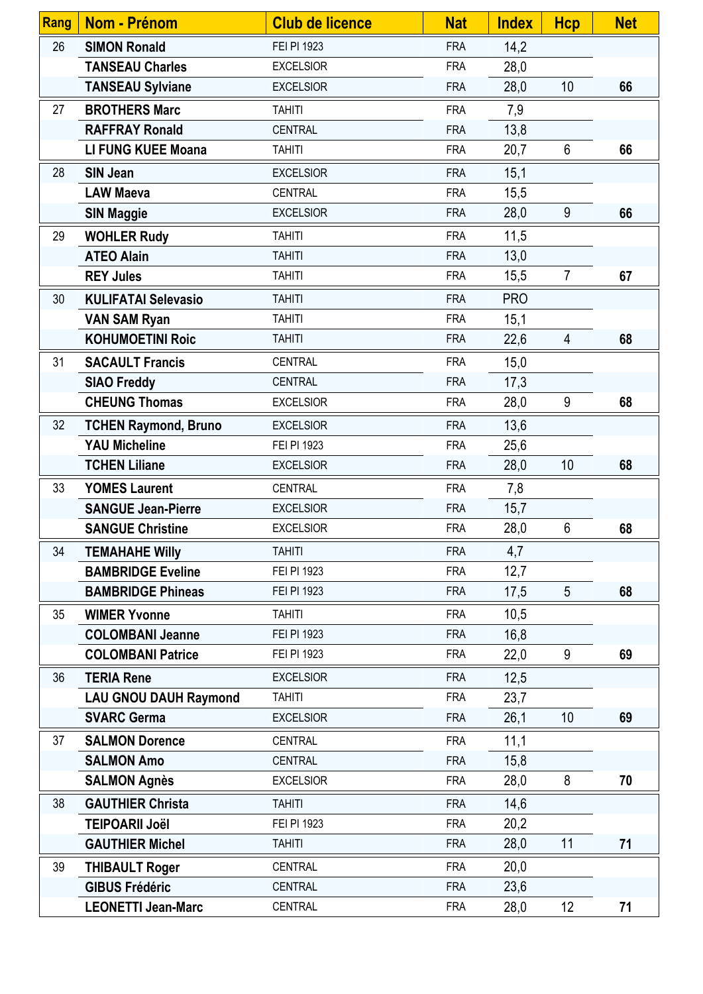| Rang | <b>Nom - Prénom</b>          | <b>Club de licence</b> | <b>Nat</b> | <b>Index</b> | <b>Hcp</b>      | <b>Net</b> |
|------|------------------------------|------------------------|------------|--------------|-----------------|------------|
| 26   | <b>SIMON Ronald</b>          | FEI PI 1923            | <b>FRA</b> | 14,2         |                 |            |
|      | <b>TANSEAU Charles</b>       | <b>EXCELSIOR</b>       | <b>FRA</b> | 28,0         |                 |            |
|      | <b>TANSEAU Sylviane</b>      | <b>EXCELSIOR</b>       | <b>FRA</b> | 28,0         | 10              | 66         |
| 27   | <b>BROTHERS Marc</b>         | <b>TAHITI</b>          | <b>FRA</b> | 7,9          |                 |            |
|      | <b>RAFFRAY Ronald</b>        | <b>CENTRAL</b>         | <b>FRA</b> | 13,8         |                 |            |
|      | <b>LI FUNG KUEE Moana</b>    | <b>TAHITI</b>          | <b>FRA</b> | 20,7         | 6               | 66         |
| 28   | <b>SIN Jean</b>              | <b>EXCELSIOR</b>       | <b>FRA</b> | 15,1         |                 |            |
|      | <b>LAW Maeva</b>             | <b>CENTRAL</b>         | <b>FRA</b> | 15,5         |                 |            |
|      | <b>SIN Maggie</b>            | <b>EXCELSIOR</b>       | <b>FRA</b> | 28,0         | 9               | 66         |
| 29   | <b>WOHLER Rudy</b>           | <b>TAHITI</b>          | <b>FRA</b> | 11,5         |                 |            |
|      | <b>ATEO Alain</b>            | <b>TAHITI</b>          | <b>FRA</b> | 13,0         |                 |            |
|      | <b>REY Jules</b>             | <b>TAHITI</b>          | <b>FRA</b> | 15,5         | $\overline{7}$  | 67         |
| 30   | <b>KULIFATAI Selevasio</b>   | <b>TAHITI</b>          | <b>FRA</b> | <b>PRO</b>   |                 |            |
|      | <b>VAN SAM Ryan</b>          | <b>TAHITI</b>          | <b>FRA</b> | 15,1         |                 |            |
|      | <b>KOHUMOETINI Roic</b>      | <b>TAHITI</b>          | <b>FRA</b> | 22,6         | $\overline{4}$  | 68         |
| 31   | <b>SACAULT Francis</b>       | <b>CENTRAL</b>         | <b>FRA</b> | 15,0         |                 |            |
|      | <b>SIAO Freddy</b>           | <b>CENTRAL</b>         | <b>FRA</b> | 17,3         |                 |            |
|      | <b>CHEUNG Thomas</b>         | <b>EXCELSIOR</b>       | <b>FRA</b> | 28,0         | 9               | 68         |
| 32   | <b>TCHEN Raymond, Bruno</b>  | <b>EXCELSIOR</b>       | <b>FRA</b> | 13,6         |                 |            |
|      | <b>YAU Micheline</b>         | FEI PI 1923            | <b>FRA</b> | 25,6         |                 |            |
|      | <b>TCHEN Liliane</b>         | <b>EXCELSIOR</b>       | <b>FRA</b> | 28,0         | 10              | 68         |
| 33   | <b>YOMES Laurent</b>         | <b>CENTRAL</b>         | <b>FRA</b> | 7,8          |                 |            |
|      | <b>SANGUE Jean-Pierre</b>    | <b>EXCELSIOR</b>       | <b>FRA</b> | 15,7         |                 |            |
|      | <b>SANGUE Christine</b>      | <b>EXCELSIOR</b>       | <b>FRA</b> | 28,0         | $6\phantom{1}$  | 68         |
| 34   | <b>TEMAHAHE Willy</b>        | <b>TAHITI</b>          | <b>FRA</b> | 4,7          |                 |            |
|      | <b>BAMBRIDGE Eveline</b>     | FEI PI 1923            | <b>FRA</b> | 12,7         |                 |            |
|      | <b>BAMBRIDGE Phineas</b>     | FEI PI 1923            | <b>FRA</b> | 17,5         | 5               | 68         |
| 35   | <b>WIMER Yvonne</b>          | <b>TAHITI</b>          | <b>FRA</b> | 10,5         |                 |            |
|      | <b>COLOMBANI Jeanne</b>      | FEI PI 1923            | <b>FRA</b> | 16,8         |                 |            |
|      | <b>COLOMBANI Patrice</b>     | FEI PI 1923            | <b>FRA</b> | 22,0         | 9               | 69         |
| 36   | <b>TERIA Rene</b>            | <b>EXCELSIOR</b>       | <b>FRA</b> | 12,5         |                 |            |
|      | <b>LAU GNOU DAUH Raymond</b> | <b>TAHITI</b>          | <b>FRA</b> | 23,7         |                 |            |
|      | <b>SVARC Germa</b>           | <b>EXCELSIOR</b>       | <b>FRA</b> | 26,1         | 10              | 69         |
| 37   | <b>SALMON Dorence</b>        | <b>CENTRAL</b>         | <b>FRA</b> | 11,1         |                 |            |
|      | <b>SALMON Amo</b>            | <b>CENTRAL</b>         | <b>FRA</b> | 15,8         |                 |            |
|      | <b>SALMON Agnès</b>          | <b>EXCELSIOR</b>       | <b>FRA</b> | 28,0         | 8               | 70         |
| 38   | <b>GAUTHIER Christa</b>      | <b>TAHITI</b>          | <b>FRA</b> | 14,6         |                 |            |
|      | <b>TEIPOARII Joël</b>        | FEI PI 1923            | <b>FRA</b> | 20,2         |                 |            |
|      | <b>GAUTHIER Michel</b>       | <b>TAHITI</b>          | <b>FRA</b> | 28,0         | 11              | 71         |
| 39   | <b>THIBAULT Roger</b>        | <b>CENTRAL</b>         | <b>FRA</b> | 20,0         |                 |            |
|      | <b>GIBUS Frédéric</b>        | <b>CENTRAL</b>         | <b>FRA</b> | 23,6         |                 |            |
|      | <b>LEONETTI Jean-Marc</b>    | CENTRAL                | <b>FRA</b> | 28,0         | 12 <sub>2</sub> | 71         |